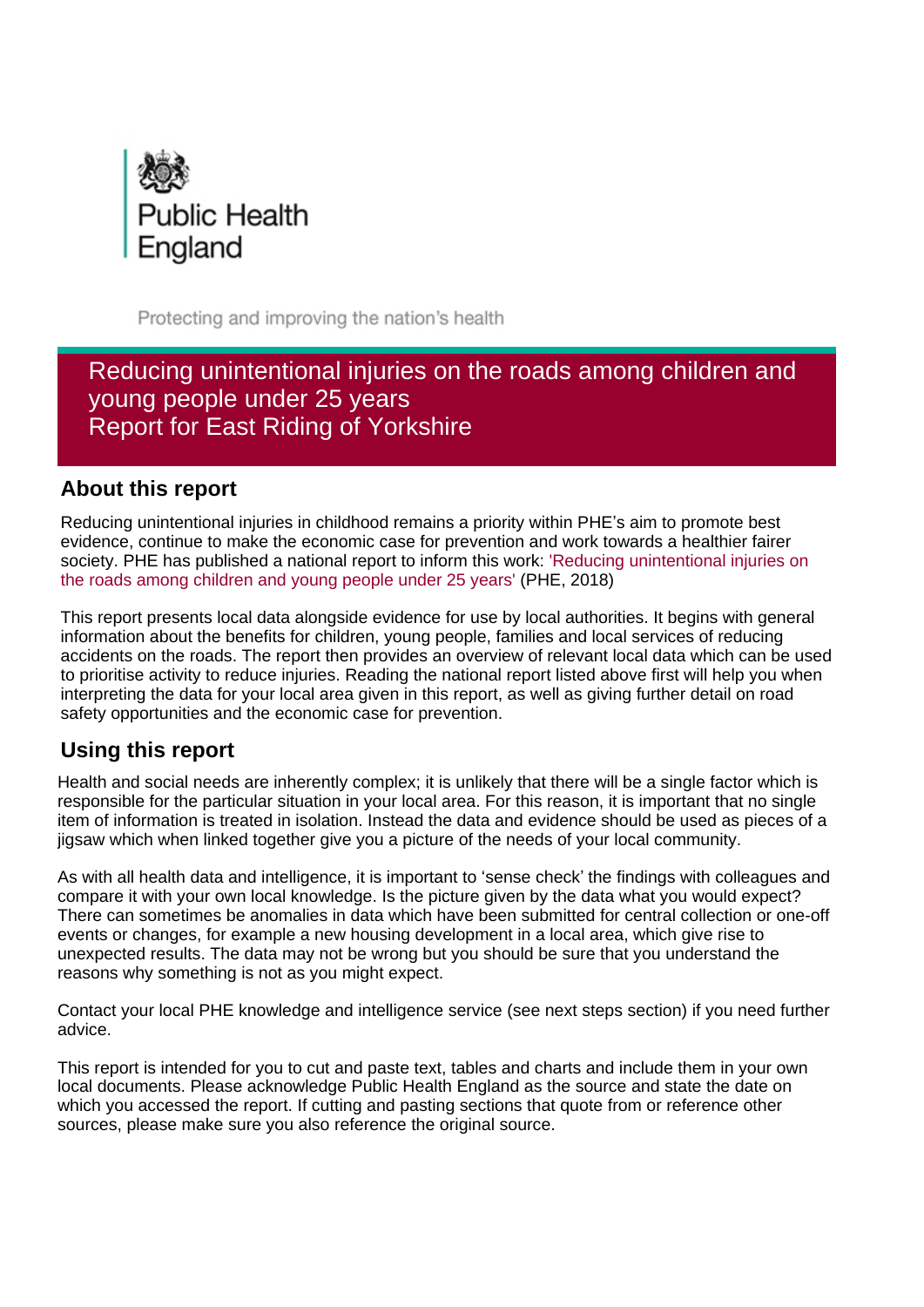

Protecting and improving the nation's health

# Reducing unintentional injuries on the roads among children and young people under 25 years Report for East Riding of Yorkshire

## **About this report**

Reducing unintentional injuries in childhood remains a priority within PHE's aim to promote best evidence, continue to make the economic case for prevention and work towards a healthier fairer society. PHE has published a national report to inform this work: ['Reducing unintentional injuries on](https://www.gov.uk/government/publications/reducing-unintentional-injuries-among-children-and-young-people)  [the roads among children and young people under 25 years'](https://www.gov.uk/government/publications/reducing-unintentional-injuries-among-children-and-young-people) (PHE, 2018)

This report presents local data alongside evidence for use by local authorities. It begins with general information about the benefits for children, young people, families and local services of reducing accidents on the roads. The report then provides an overview of relevant local data which can be used to prioritise activity to reduce injuries. Reading the national report listed above first will help you when interpreting the data for your local area given in this report, as well as giving further detail on road safety opportunities and the economic case for prevention.

# **Using this report**

Health and social needs are inherently complex; it is unlikely that there will be a single factor which is responsible for the particular situation in your local area. For this reason, it is important that no single item of information is treated in isolation. Instead the data and evidence should be used as pieces of a jigsaw which when linked together give you a picture of the needs of your local community.

As with all health data and intelligence, it is important to 'sense check' the findings with colleagues and compare it with your own local knowledge. Is the picture given by the data what you would expect? There can sometimes be anomalies in data which have been submitted for central collection or one-off events or changes, for example a new housing development in a local area, which give rise to unexpected results. The data may not be wrong but you should be sure that you understand the reasons why something is not as you might expect.

Contact your local PHE knowledge and intelligence service (see next steps section) if you need further advice.

This report is intended for you to cut and paste text, tables and charts and include them in your own local documents. Please acknowledge Public Health England as the source and state the date on which you accessed the report. If cutting and pasting sections that quote from or reference other sources, please make sure you also reference the original source.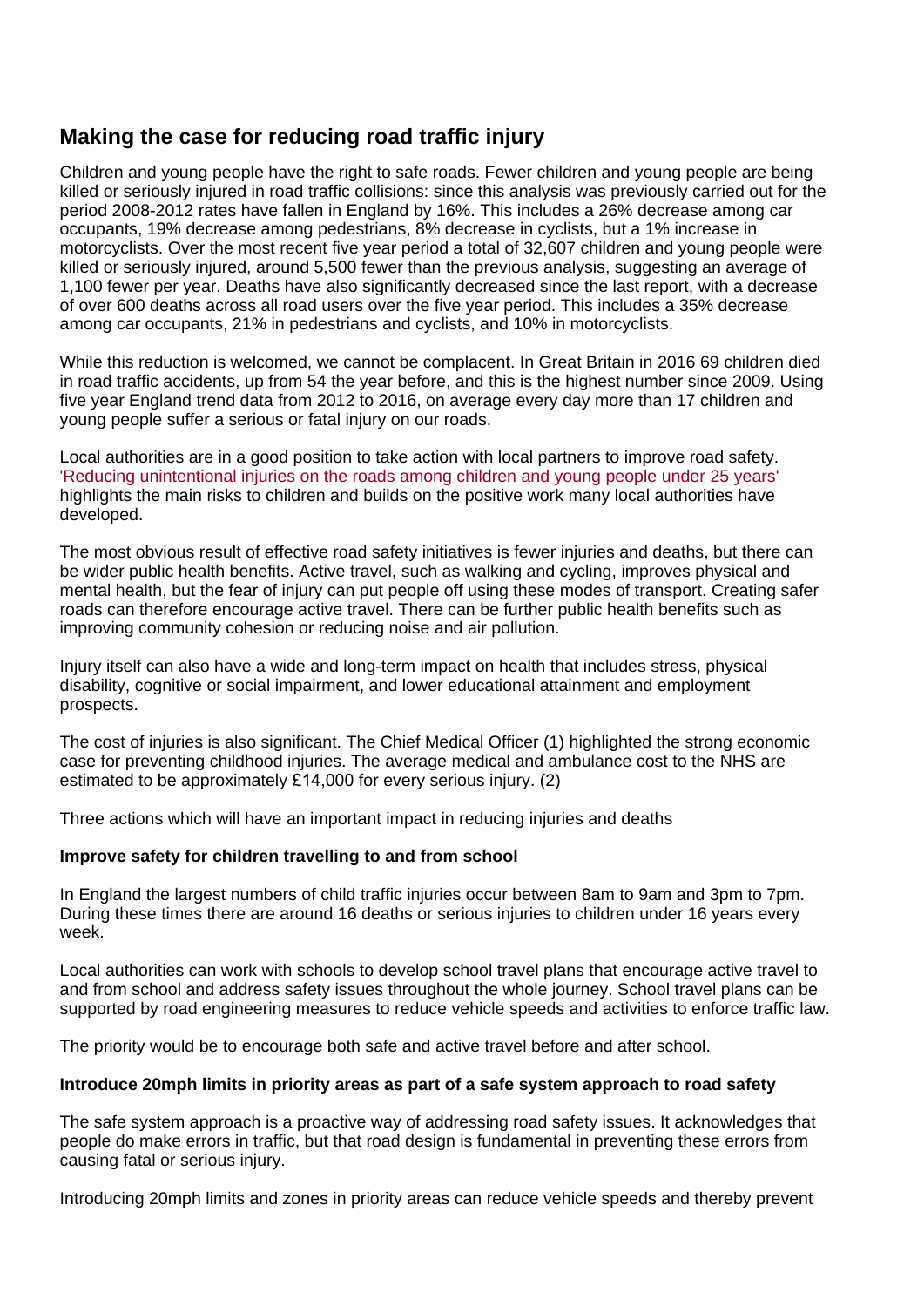# **Making the case for reducing road traffic injury**

Children and young people have the right to safe roads. Fewer children and young people are being killed or seriously injured in road traffic collisions: since this analysis was previously carried out for the period 2008-2012 rates have fallen in England by 16%. This includes a 26% decrease among car occupants, 19% decrease among pedestrians, 8% decrease in cyclists, but a 1% increase in motorcyclists. Over the most recent five year period a total of 32,607 children and young people were killed or seriously injured, around 5,500 fewer than the previous analysis, suggesting an average of 1,100 fewer per year. Deaths have also significantly decreased since the last report, with a decrease of over 600 deaths across all road users over the five year period. This includes a 35% decrease among car occupants, 21% in pedestrians and cyclists, and 10% in motorcyclists.

While this reduction is welcomed, we cannot be complacent. In Great Britain in 2016 69 children died in road traffic accidents, up from 54 the year before, and this is the highest number since 2009. Using five year England trend data from 2012 to 2016, on average every day more than 17 children and young people suffer a serious or fatal injury on our roads.

Local authorities are in a good position to take action with local partners to improve road safety. ['Reducing unintentional injuries on the roads among children and young people under 25 years'](https://www.gov.uk/government/publications/reducing-unintentional-injuries-among-children-and-young-people) highlights the main risks to children and builds on the positive work many local authorities have developed.

The most obvious result of effective road safety initiatives is fewer injuries and deaths, but there can be wider public health benefits. Active travel, such as walking and cycling, improves physical and mental health, but the fear of injury can put people off using these modes of transport. Creating safer roads can therefore encourage active travel. There can be further public health benefits such as improving community cohesion or reducing noise and air pollution.

Injury itself can also have a wide and long-term impact on health that includes stress, physical disability, cognitive or social impairment, and lower educational attainment and employment prospects.

The cost of injuries is also significant. The Chief Medical Officer (1) highlighted the strong economic case for preventing childhood injuries. The average medical and ambulance cost to the NHS are estimated to be approximately £14,000 for every serious injury. (2)

Three actions which will have an important impact in reducing injuries and deaths

### **Improve safety for children travelling to and from school**

In England the largest numbers of child traffic injuries occur between 8am to 9am and 3pm to 7pm. During these times there are around 16 deaths or serious injuries to children under 16 years every week.

Local authorities can work with schools to develop school travel plans that encourage active travel to and from school and address safety issues throughout the whole journey. School travel plans can be supported by road engineering measures to reduce vehicle speeds and activities to enforce traffic law.

The priority would be to encourage both safe and active travel before and after school.

### **Introduce 20mph limits in priority areas as part of a safe system approach to road safety**

The safe system approach is a proactive way of addressing road safety issues. It acknowledges that people do make errors in traffic, but that road design is fundamental in preventing these errors from causing fatal or serious injury.

Introducing 20mph limits and zones in priority areas can reduce vehicle speeds and thereby prevent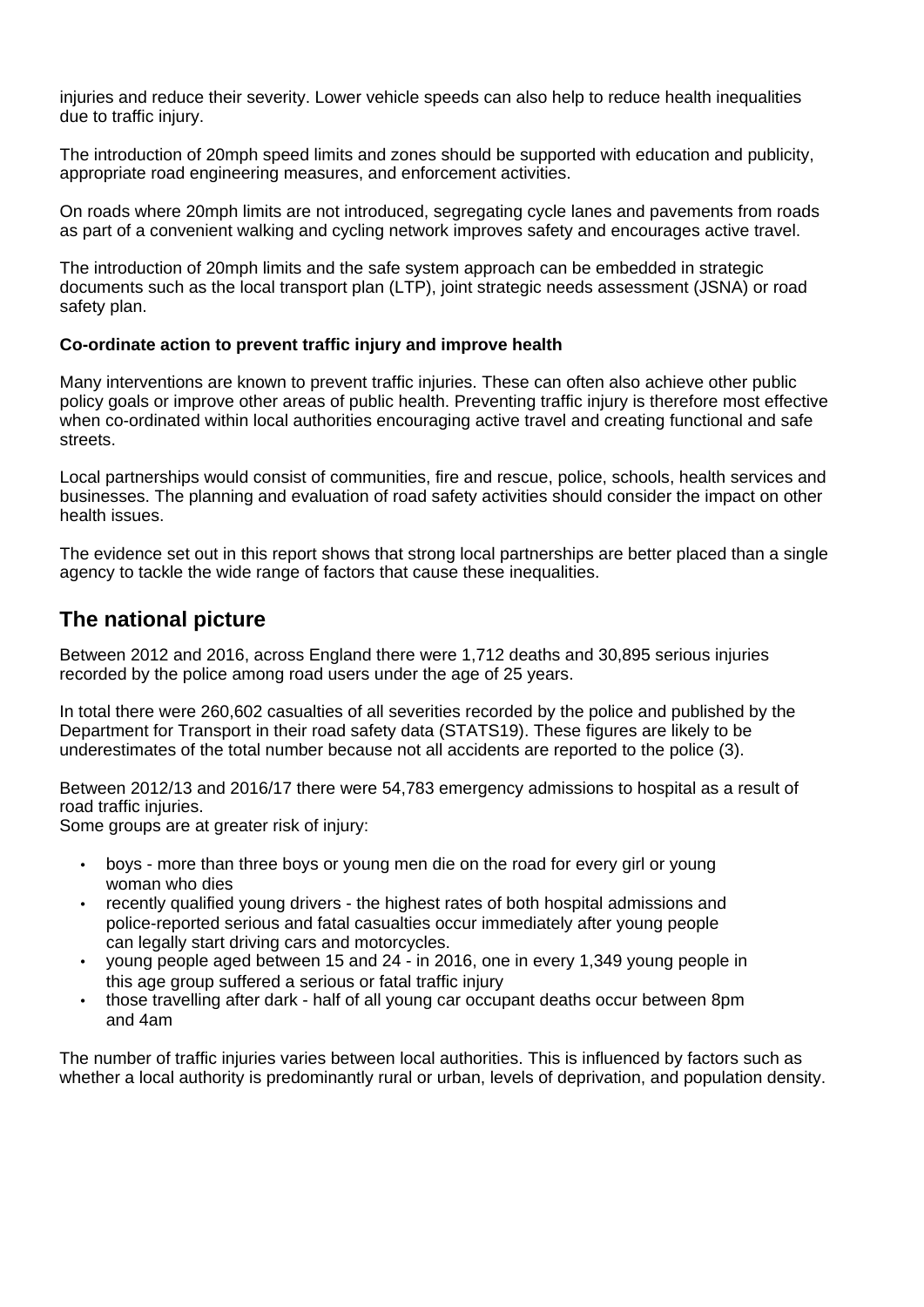injuries and reduce their severity. Lower vehicle speeds can also help to reduce health inequalities due to traffic injury.

The introduction of 20mph speed limits and zones should be supported with education and publicity, appropriate road engineering measures, and enforcement activities.

On roads where 20mph limits are not introduced, segregating cycle lanes and pavements from roads as part of a convenient walking and cycling network improves safety and encourages active travel.

The introduction of 20mph limits and the safe system approach can be embedded in strategic documents such as the local transport plan (LTP), joint strategic needs assessment (JSNA) or road safety plan.

#### **Co-ordinate action to prevent traffic injury and improve health**

Many interventions are known to prevent traffic injuries. These can often also achieve other public policy goals or improve other areas of public health. Preventing traffic injury is therefore most effective when co-ordinated within local authorities encouraging active travel and creating functional and safe streets.

Local partnerships would consist of communities, fire and rescue, police, schools, health services and businesses. The planning and evaluation of road safety activities should consider the impact on other health issues.

The evidence set out in this report shows that strong local partnerships are better placed than a single agency to tackle the wide range of factors that cause these inequalities.

## **The national picture**

Between 2012 and 2016, across England there were 1,712 deaths and 30,895 serious injuries recorded by the police among road users under the age of 25 years.

In total there were 260,602 casualties of all severities recorded by the police and published by the Department for Transport in their road safety data (STATS19). These figures are likely to be underestimates of the total number because not all accidents are reported to the police (3).

Between 2012/13 and 2016/17 there were 54,783 emergency admissions to hospital as a result of road traffic injuries.

Some groups are at greater risk of injury:

- boys more than three boys or young men die on the road for every girl or young woman who dies
- recently qualified young drivers the highest rates of both hospital admissions and police-reported serious and fatal casualties occur immediately after young people can legally start driving cars and motorcycles.
- young people aged between 15 and 24 in 2016, one in every 1,349 young people in this age group suffered a serious or fatal traffic injury
- those travelling after dark half of all young car occupant deaths occur between 8pm and 4am

The number of traffic injuries varies between local authorities. This is influenced by factors such as whether a local authority is predominantly rural or urban, levels of deprivation, and population density.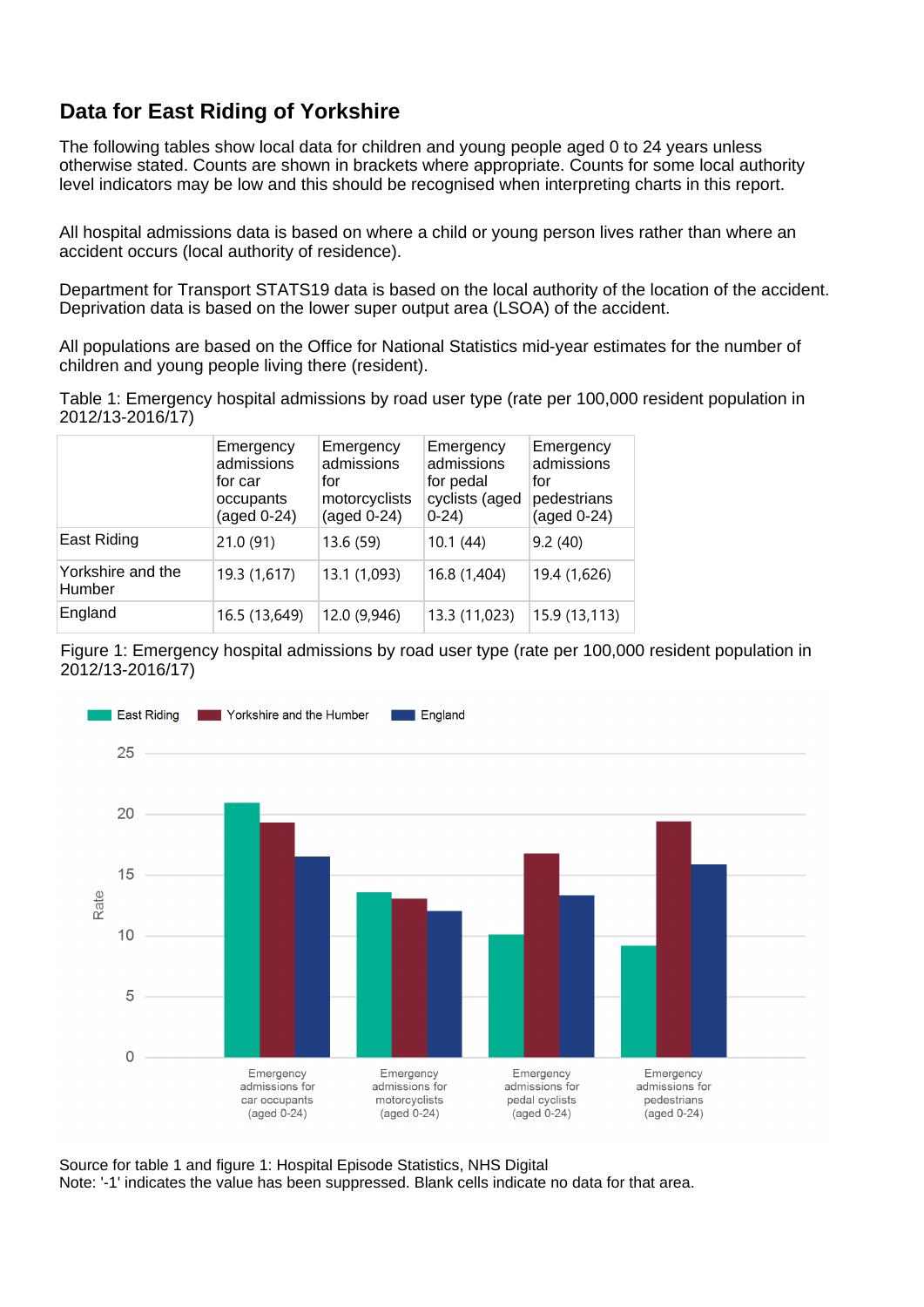# **Data for East Riding of Yorkshire**

The following tables show local data for children and young people aged 0 to 24 years unless otherwise stated. Counts are shown in brackets where appropriate. Counts for some local authority level indicators may be low and this should be recognised when interpreting charts in this report.

All hospital admissions data is based on where a child or young person lives rather than where an accident occurs (local authority of residence).

Department for Transport STATS19 data is based on the local authority of the location of the accident. Deprivation data is based on the lower super output area (LSOA) of the accident.

All populations are based on the Office for National Statistics mid-year estimates for the number of children and young people living there (resident).

Table 1: Emergency hospital admissions by road user type (rate per 100,000 resident population in 2012/13-2016/17)

|                             | Emergency<br>admissions<br>for car<br>occupants<br>$(aged 0-24)$ | Emergency<br>admissions<br>for<br>motorcyclists<br>$(aged 0-24)$ | Emergency<br>admissions<br>for pedal<br>cyclists (aged<br>$0-24$ | Emergency<br>admissions<br>for<br>pedestrians<br>$(aged 0-24)$ |
|-----------------------------|------------------------------------------------------------------|------------------------------------------------------------------|------------------------------------------------------------------|----------------------------------------------------------------|
| East Riding                 | 21.0(91)                                                         | 13.6 (59)                                                        | 10.1(44)                                                         | 9.2(40)                                                        |
| Yorkshire and the<br>Humber | 19.3 (1,617)                                                     | 13.1 (1,093)                                                     | 16.8 (1,404)                                                     | 19.4 (1,626)                                                   |
| England                     | 16.5 (13,649)                                                    | 12.0 (9,946)                                                     | 13.3 (11,023)                                                    | 15.9 (13,113)                                                  |

Figure 1: Emergency hospital admissions by road user type (rate per 100,000 resident population in 2012/13-2016/17)



Source for table 1 and figure 1: Hospital Episode Statistics, NHS Digital Note: '-1' indicates the value has been suppressed. Blank cells indicate no data for that area.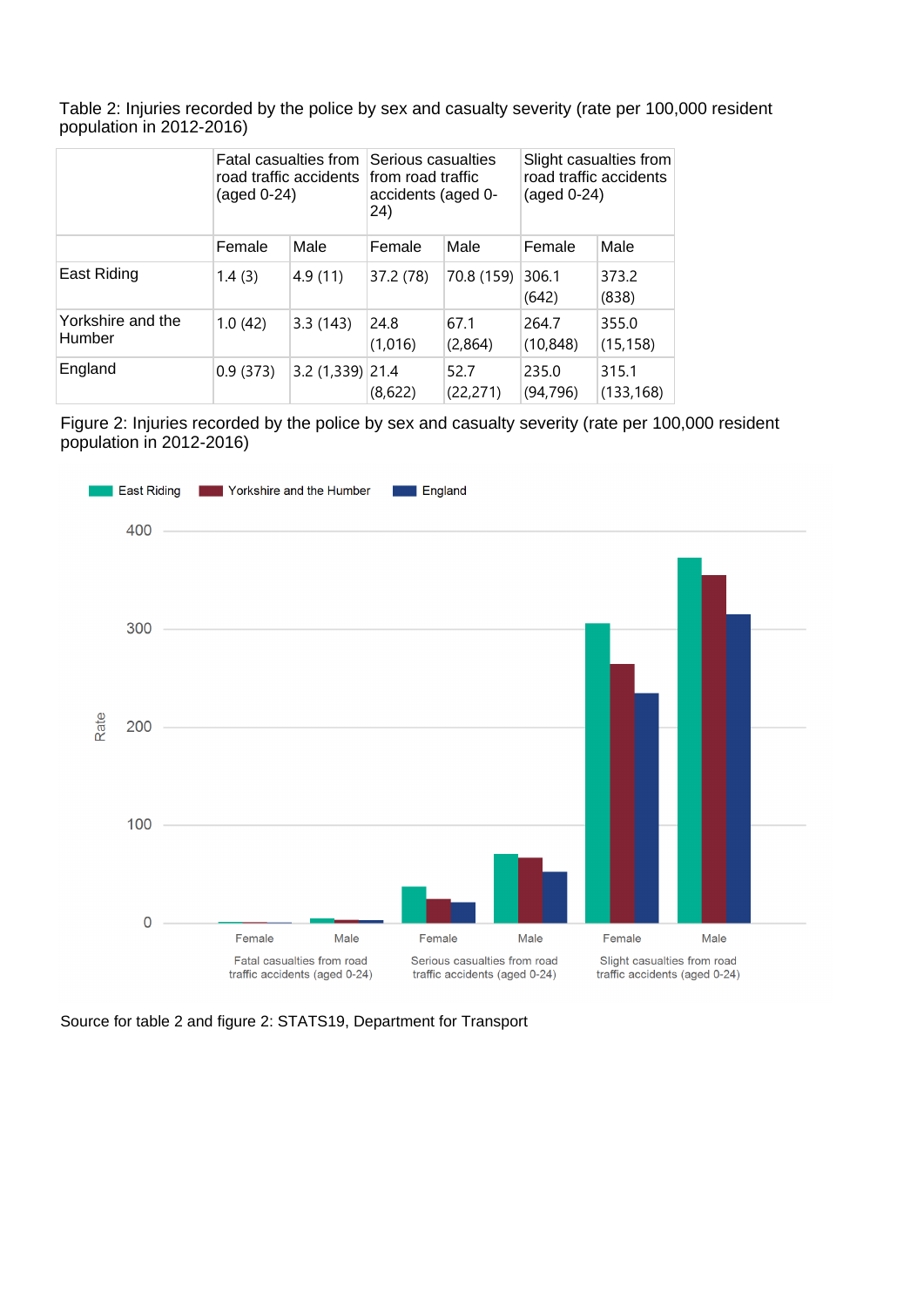Table 2: Injuries recorded by the police by sex and casualty severity (rate per 100,000 resident population in 2012-2016)

|                             | Fatal casualties from<br>road traffic accidents<br>(aged 0-24) |                  | Serious casualties<br>from road traffic<br>accidents (aged 0-<br>24) |                   | Slight casualties from<br>road traffic accidents<br>$(\text{aged } 0-24)$ |                     |
|-----------------------------|----------------------------------------------------------------|------------------|----------------------------------------------------------------------|-------------------|---------------------------------------------------------------------------|---------------------|
|                             | Female                                                         | Male             | Female                                                               | Male              | Female                                                                    | Male                |
| East Riding                 | 1.4(3)                                                         | 4.9(11)          | 37.2 (78)                                                            | 70.8 (159)        | 306.1<br>(642)                                                            | 373.2<br>(838)      |
| Yorkshire and the<br>Humber | 1.0(42)                                                        | 3.3(143)         | 24.8<br>(1,016)                                                      | 67.1<br>(2,864)   | 264.7<br>(10, 848)                                                        | 355.0<br>(15, 158)  |
| England                     | 0.9(373)                                                       | 3.2 (1,339) 21.4 | (8,622)                                                              | 52.7<br>(22, 271) | 235.0<br>(94, 796)                                                        | 315.1<br>(133, 168) |

Figure 2: Injuries recorded by the police by sex and casualty severity (rate per 100,000 resident population in 2012-2016)



Source for table 2 and figure 2: STATS19, Department for Transport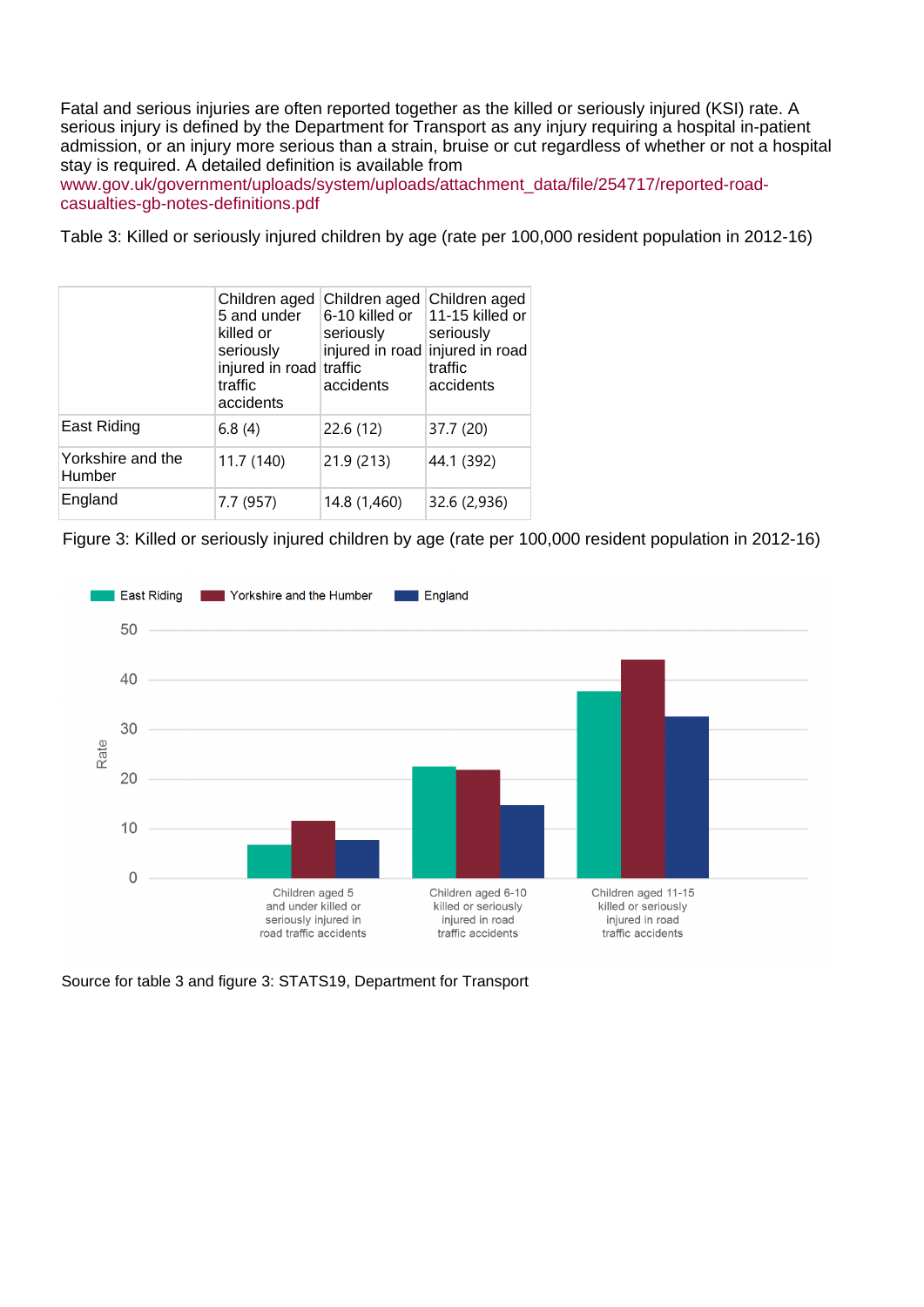Fatal and serious injuries are often reported together as the killed or seriously injured (KSI) rate. A serious injury is defined by the Department for Transport as any injury requiring a hospital in-patient admission, or an injury more serious than a strain, bruise or cut regardless of whether or not a hospital stay is required. A detailed definition is available from

[www.gov.uk/government/uploads/system/uploads/attachment\\_data/file/254717/reported-road](https://www.gov.uk/government/uploads/system/uploads/attachment_data/file/254717/reported-road-casualties-gb-notes-definitions.pdf)[casualties-gb-notes-definitions.pdf](https://www.gov.uk/government/uploads/system/uploads/attachment_data/file/254717/reported-road-casualties-gb-notes-definitions.pdf)

Table 3: Killed or seriously injured children by age (rate per 100,000 resident population in 2012-16)

|                             | Children aged<br>5 and under<br>killed or<br>seriously<br>injured in road traffic<br>traffic<br>accidents | Children aged<br>6-10 killed or<br>seriously<br>injured in road<br>accidents | Children aged<br>11-15 killed or<br>seriously<br>injured in road<br>traffic<br>accidents |
|-----------------------------|-----------------------------------------------------------------------------------------------------------|------------------------------------------------------------------------------|------------------------------------------------------------------------------------------|
| East Riding                 | 6.8(4)                                                                                                    | 22.6(12)                                                                     | 37.7 (20)                                                                                |
| Yorkshire and the<br>Humber | 11.7 (140)                                                                                                | 21.9 (213)                                                                   | 44.1 (392)                                                                               |
| England                     | 7.7 (957)                                                                                                 | 14.8 (1,460)                                                                 | 32.6 (2,936)                                                                             |

Figure 3: Killed or seriously injured children by age (rate per 100,000 resident population in 2012-16)



Source for table 3 and figure 3: STATS19, Department for Transport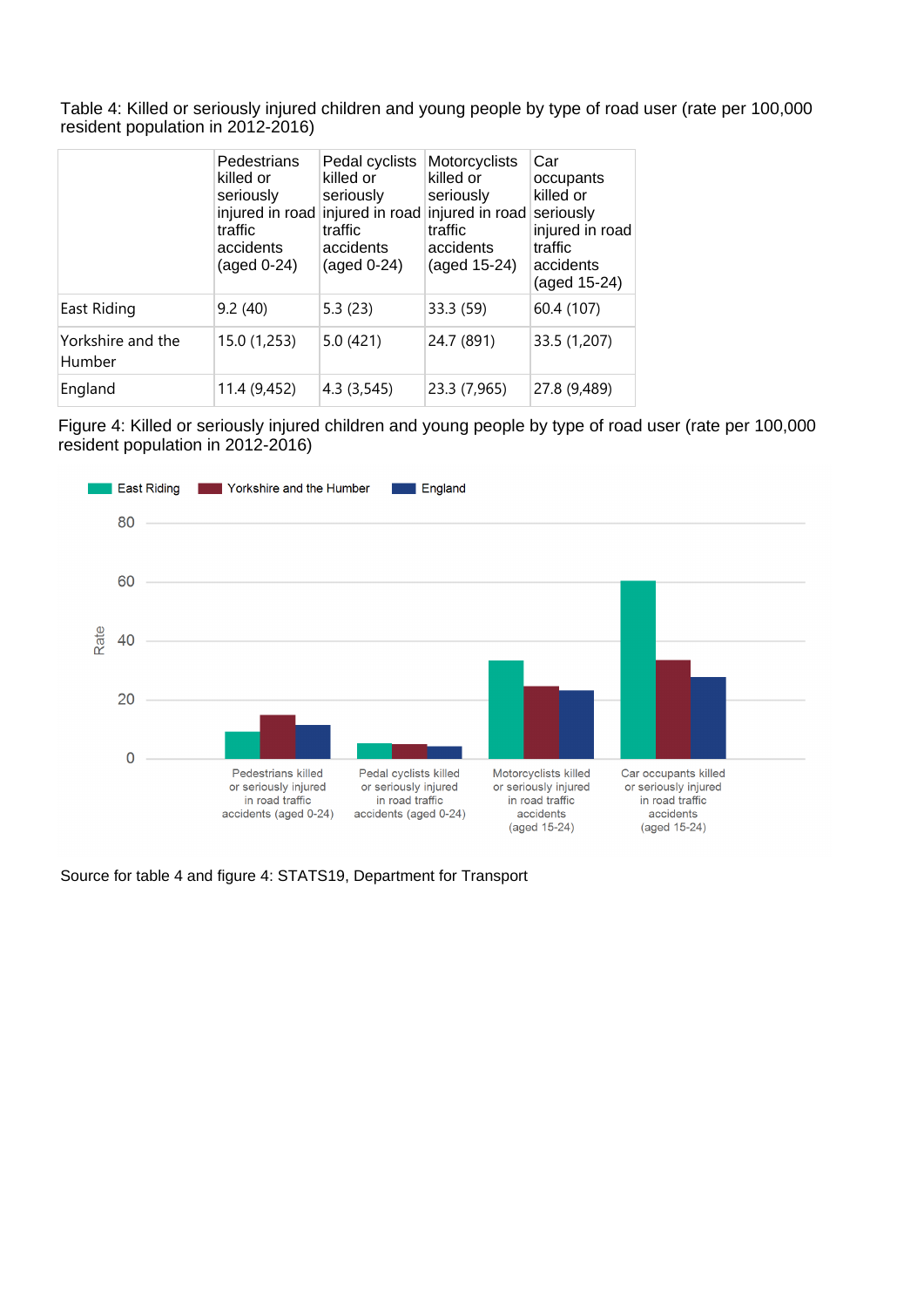Table 4: Killed or seriously injured children and young people by type of road user (rate per 100,000 resident population in 2012-2016)

|                             | Pedestrians<br>killed or<br>seriously<br>injured in road<br>traffic<br>accidents<br>$(\text{aged } 0-24)$ | Pedal cyclists<br>killed or<br>seriously<br>traffic<br>accidents<br>$(aged 0-24)$ | Motorcyclists<br>killed or<br>seriously<br>injured in road injured in road<br>traffic<br>accidents<br>(aged 15-24) | Car<br>occupants<br>killed or<br>seriously<br>injured in road<br>traffic<br>accidents<br>(aged 15-24) |
|-----------------------------|-----------------------------------------------------------------------------------------------------------|-----------------------------------------------------------------------------------|--------------------------------------------------------------------------------------------------------------------|-------------------------------------------------------------------------------------------------------|
| East Riding                 | 9.2(40)                                                                                                   | 5.3(23)                                                                           | 33.3 (59)                                                                                                          | 60.4 (107)                                                                                            |
| Yorkshire and the<br>Humber | 15.0 (1,253)                                                                                              | 5.0(421)                                                                          | 24.7 (891)                                                                                                         | 33.5 (1,207)                                                                                          |
| England                     | 11.4 (9,452)                                                                                              | 4.3(3,545)                                                                        | 23.3 (7,965)                                                                                                       | 27.8 (9,489)                                                                                          |

Figure 4: Killed or seriously injured children and young people by type of road user (rate per 100,000 resident population in 2012-2016)



Source for table 4 and figure 4: STATS19, Department for Transport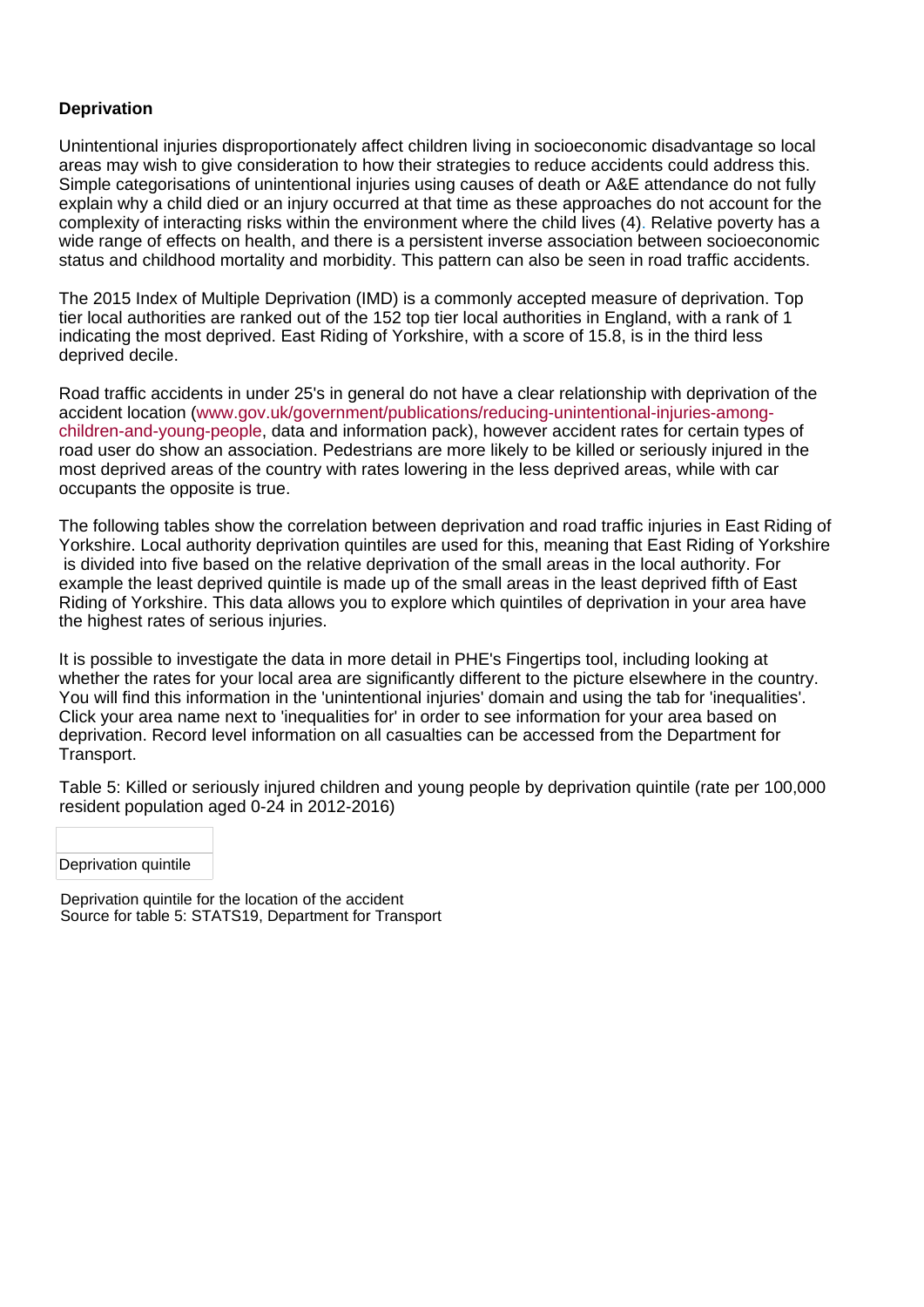### **Deprivation**

Unintentional injuries disproportionately affect children living in socioeconomic disadvantage so local areas may wish to give consideration to how their strategies to reduce accidents could address this. Simple categorisations of unintentional injuries using causes of death or A&E attendance do not fully explain why a child died or an injury occurred at that time as these approaches do not account for the complexity of interacting risks within the environment where the child lives (4[\).](http://www.thelancet.com/journals/lancet/article/PIIS0140-6736(14)60581-X/abstract) Relative poverty has a wide range of effects on health, and there is a persistent inverse association between socioeconomic status and childhood mortality and morbidity. This pattern can also be seen in road traffic accidents.

The 2015 Index of Multiple Deprivation (IMD) is a commonly accepted measure of deprivation. Top tier local authorities are ranked out of the 152 top tier local authorities in England, with a rank of 1 indicating the most deprived. East Riding of Yorkshire, with a score of 15.8, is in the third less deprived decile.

Road traffic accidents in under 25's in general do not have a clear relationship with deprivation of the accident location ([www.gov.uk/government/publications/reducing-unintentional-injuries-among](https://www.gov.uk/government/publications/reducing-unintentional-injuries-among-children-and-young-people)[children-and-young-people,](https://www.gov.uk/government/publications/reducing-unintentional-injuries-among-children-and-young-people) data and information pack), however accident rates for certain types of road user do show an association. Pedestrians are more likely to be killed or seriously injured in the most deprived areas of the country with rates lowering in the less deprived areas, while with car occupants the opposite is true.

The following tables show the correlation between deprivation and road traffic injuries in East Riding of Yorkshire. Local authority deprivation quintiles are used for this, meaning that East Riding of Yorkshire is divided into five based on the relative deprivation of the small areas in the local authority. For example the least deprived quintile is made up of the small areas in the least deprived fifth of East Riding of Yorkshire. This data allows you to explore which quintiles of deprivation in your area have the highest rates of serious injuries.

It is possible to investigate the data in more detail in PHE's Fingertips tool, including looking at whether the rates for your local area are significantly different to the picture elsewhere in the country. You will find this information in the 'unintentional injuries' domain and using the tab for 'inequalities'. Click your area name next to 'inequalities for' in order to see information for your area based on deprivation. Record level information on all casualties can be accessed from the Department for Transport.

Table 5: Killed or seriously injured children and young people by deprivation quintile (rate per 100,000 resident population aged 0-24 in 2012-2016)

Deprivation quintile

Deprivation quintile for the location of the accident Source for table 5: STATS19, Department for Transport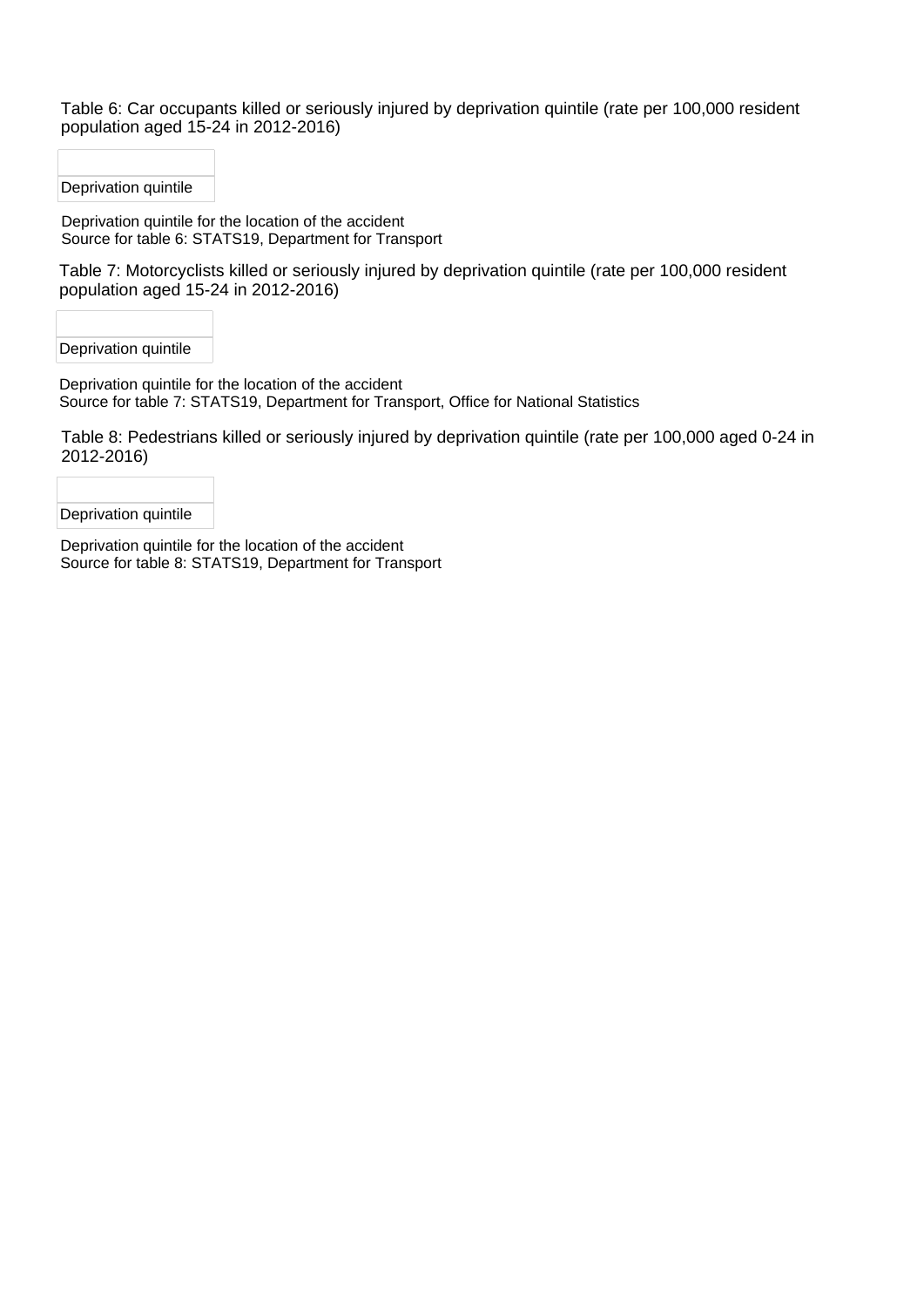Table 6: Car occupants killed or seriously injured by deprivation quintile (rate per 100,000 resident population aged 15-24 in 2012-2016)

Deprivation quintile

Deprivation quintile for the location of the accident Source for table 6: STATS19, Department for Transport

Table 7: Motorcyclists killed or seriously injured by deprivation quintile (rate per 100,000 resident population aged 15-24 in 2012-2016)

Deprivation quintile

Deprivation quintile for the location of the accident Source for table 7: STATS19, Department for Transport, Office for National Statistics

Table 8: Pedestrians killed or seriously injured by deprivation quintile (rate per 100,000 aged 0-24 in 2012-2016)

Deprivation quintile

Deprivation quintile for the location of the accident Source for table 8: STATS19, Department for Transport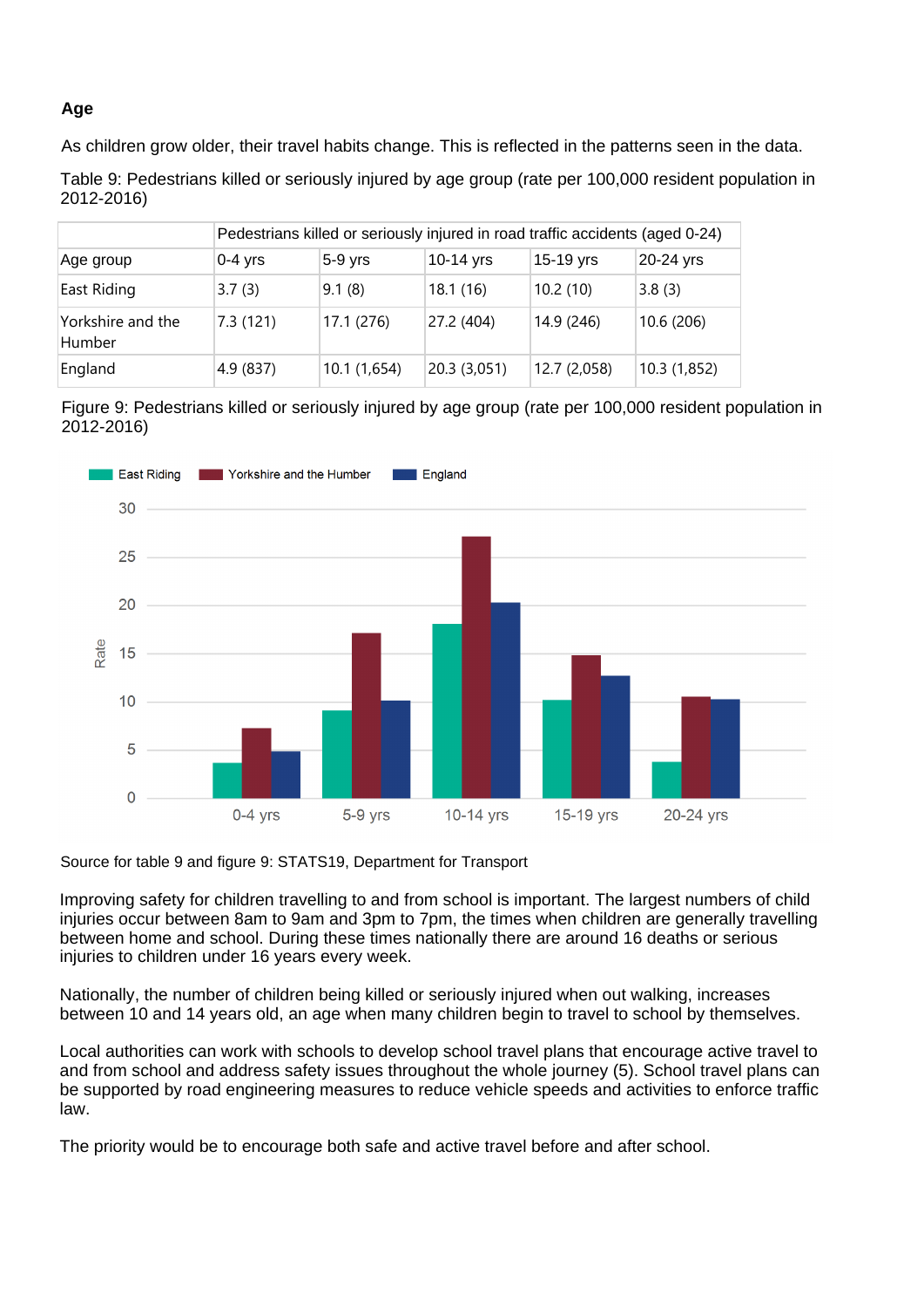### **Age**

As children grow older, their travel habits change. This is reflected in the patterns seen in the data.

Table 9: Pedestrians killed or seriously injured by age group (rate per 100,000 resident population in 2012-2016)

|                             |           | Pedestrians killed or seriously injured in road traffic accidents (aged 0-24) |             |              |              |
|-----------------------------|-----------|-------------------------------------------------------------------------------|-------------|--------------|--------------|
| Age group                   | $0-4$ yrs | $5-9$ yrs                                                                     | $10-14$ yrs | 15-19 yrs    | 20-24 yrs    |
| East Riding                 | 3.7(3)    | 9.1(8)                                                                        | 18.1(16)    | 10.2(10)     | 3.8(3)       |
| Yorkshire and the<br>Humber | 7.3(121)  | 17.1 (276)                                                                    | 27.2 (404)  | 14.9 (246)   | 10.6 (206)   |
| England                     | 4.9 (837) | 10.1 (1,654)                                                                  | 20.3(3,051) | 12.7 (2,058) | 10.3 (1,852) |

Figure 9: Pedestrians killed or seriously injured by age group (rate per 100,000 resident population in 2012-2016)



Source for table 9 and figure 9: STATS19, Department for Transport

Improving safety for children travelling to and from school is important. The largest numbers of child injuries occur between 8am to 9am and 3pm to 7pm, the times when children are generally travelling between home and school. During these times nationally there are around 16 deaths or serious injuries to children under 16 years every week.

Nationally, the number of children being killed or seriously injured when out walking, increases between 10 and 14 years old, an age when many children begin to travel to school by themselves.

Local authorities can work with schools to develop school travel plans that encourage active travel to and from school and address safety issues throughout the whole journey (5). School travel plans can be supported by road engineering measures to reduce vehicle speeds and activities to enforce traffic law.

The priority would be to encourage both safe and active travel before and after school.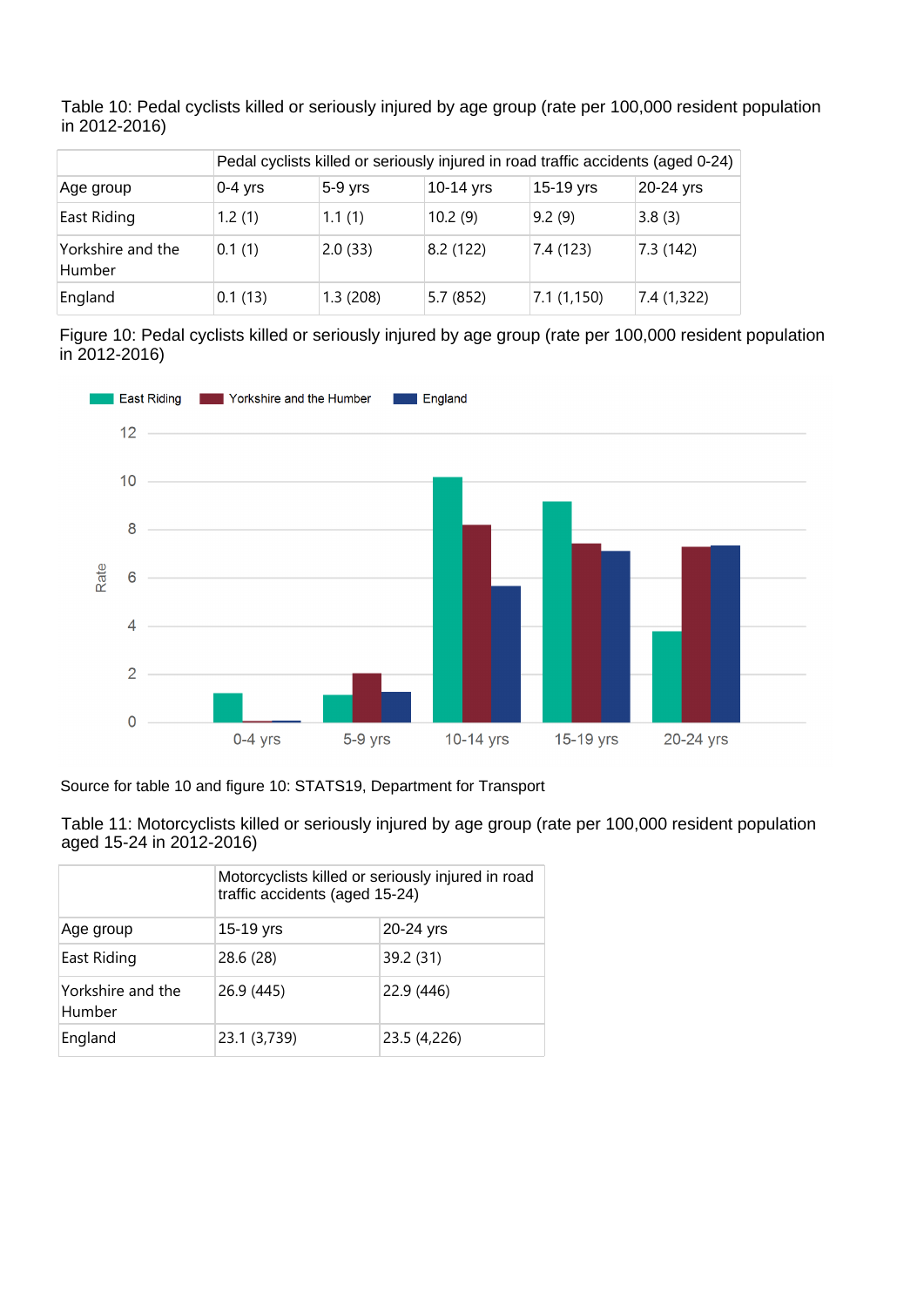|                             |           |           |           |            | Pedal cyclists killed or seriously injured in road traffic accidents (aged 0-24) |
|-----------------------------|-----------|-----------|-----------|------------|----------------------------------------------------------------------------------|
| Age group                   | $0-4$ yrs | $5-9$ yrs | 10-14 yrs | 15-19 yrs  | 20-24 yrs                                                                        |
| East Riding                 | 1.2(1)    | 1.1(1)    | 10.2(9)   | 9.2(9)     | 3.8(3)                                                                           |
| Yorkshire and the<br>Humber | 0.1(1)    | 2.0(33)   | 8.2(122)  | 7.4 (123)  | 7.3(142)                                                                         |
| England                     | 0.1(13)   | 1.3(208)  | 5.7(852)  | 7.1(1,150) | 7.4 (1,322)                                                                      |

Table 10: Pedal cyclists killed or seriously injured by age group (rate per 100,000 resident population in 2012-2016)

Figure 10: Pedal cyclists killed or seriously injured by age group (rate per 100,000 resident population in 2012-2016)



Source for table 10 and figure 10: STATS19, Department for Transport

Table 11: Motorcyclists killed or seriously injured by age group (rate per 100,000 resident population aged 15-24 in 2012-2016)

|                             | Motorcyclists killed or seriously injured in road<br>traffic accidents (aged 15-24) |              |  |
|-----------------------------|-------------------------------------------------------------------------------------|--------------|--|
| Age group                   | 15-19 yrs                                                                           | 20-24 yrs    |  |
| East Riding                 | 28.6 (28)                                                                           | 39.2 (31)    |  |
| Yorkshire and the<br>Humber | 26.9 (445)                                                                          | 22.9 (446)   |  |
| England                     | 23.1 (3,739)                                                                        | 23.5 (4,226) |  |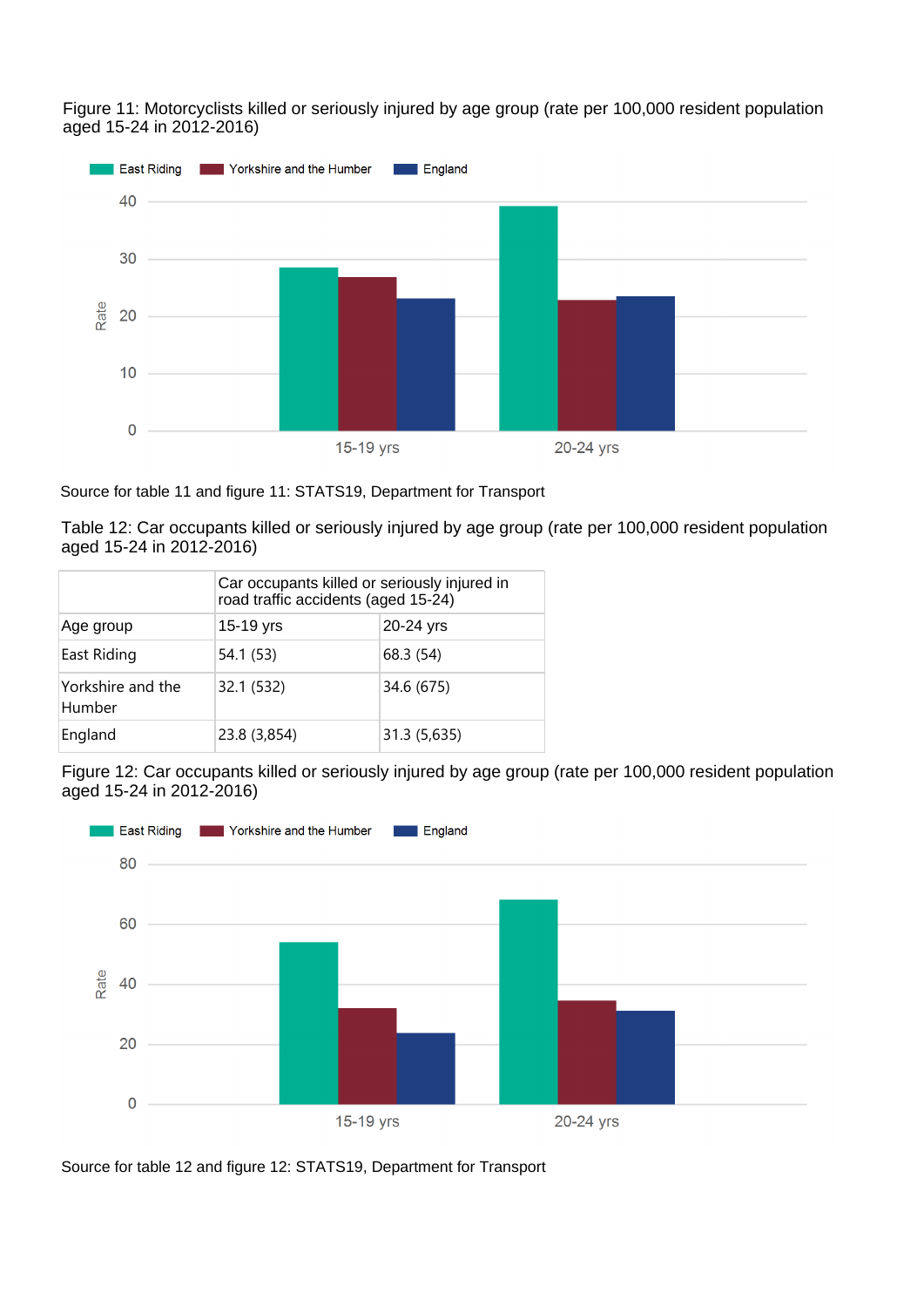Figure 11: Motorcyclists killed or seriously injured by age group (rate per 100,000 resident population aged 15-24 in 2012-2016)



Source for table 11 and figure 11: STATS19, Department for Transport

Table 12: Car occupants killed or seriously injured by age group (rate per 100,000 resident population aged 15-24 in 2012-2016)

|                             | Car occupants killed or seriously injured in<br>road traffic accidents (aged 15-24) |              |  |
|-----------------------------|-------------------------------------------------------------------------------------|--------------|--|
| Age group                   | 15-19 yrs                                                                           | 20-24 yrs    |  |
| East Riding                 | 54.1 (53)                                                                           | 68.3 (54)    |  |
| Yorkshire and the<br>Humber | 32.1 (532)                                                                          | 34.6 (675)   |  |
| England                     | 23.8 (3,854)                                                                        | 31.3 (5,635) |  |

Figure 12: Car occupants killed or seriously injured by age group (rate per 100,000 resident population aged 15-24 in 2012-2016)



Source for table 12 and figure 12: STATS19, Department for Transport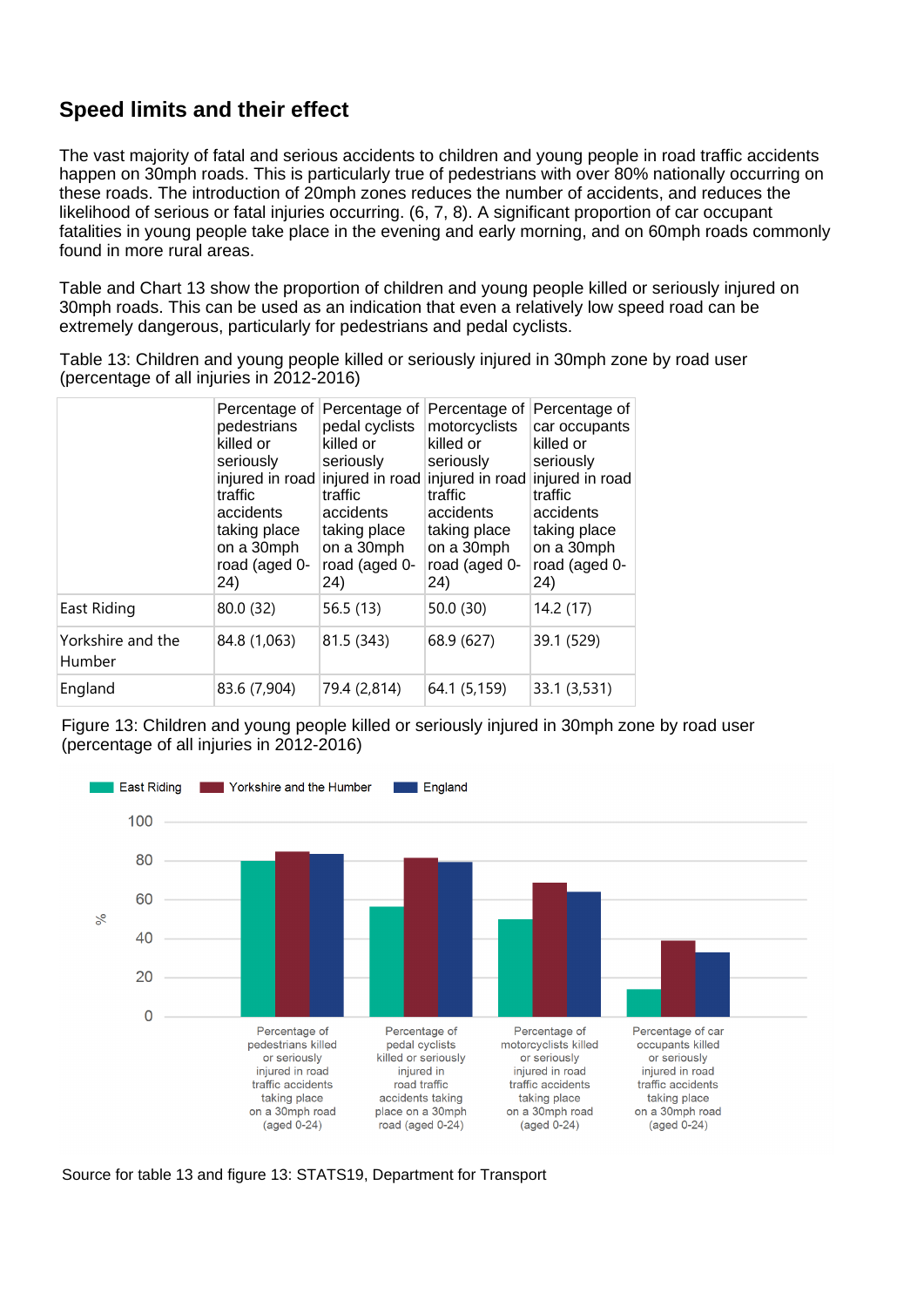# **Speed limits and their effect**

The vast majority of fatal and serious accidents to children and young people in road traffic accidents happen on 30mph roads. This is particularly true of pedestrians with over 80% nationally occurring on these roads. The introduction of 20mph zones reduces the number of accidents, and reduces the likelihood of serious or fatal injuries occurring. (6, 7, 8). A significant proportion of car occupant fatalities in young people take place in the evening and early morning, and on 60mph roads commonly found in more rural areas.

Table and Chart 13 show the proportion of children and young people killed or seriously injured on 30mph roads. This can be used as an indication that even a relatively low speed road can be extremely dangerous, particularly for pedestrians and pedal cyclists.

Table 13: Children and young people killed or seriously injured in 30mph zone by road user (percentage of all injuries in 2012-2016)

|                             | Percentage of<br>pedestrians<br>killed or<br>seriously<br>traffic<br>accidents<br>taking place<br>on a 30mph<br>road (aged 0-<br>24) | Percentage of<br>pedal cyclists<br>killed or<br>seriously<br>traffic<br>accidents<br>taking place<br>on a 30mph<br>road (aged 0-<br>24) | Percentage of<br>motorcyclists<br>killed or<br>seriously<br>injured in road injured in road injured in road injured in road<br>traffic<br>accidents<br>taking place<br>on a 30mph<br>road (aged 0-<br>24) | Percentage of<br>car occupants<br>killed or<br>seriously<br>traffic<br>accidents<br>taking place<br>on a 30mph<br>road (aged 0-<br>24) |
|-----------------------------|--------------------------------------------------------------------------------------------------------------------------------------|-----------------------------------------------------------------------------------------------------------------------------------------|-----------------------------------------------------------------------------------------------------------------------------------------------------------------------------------------------------------|----------------------------------------------------------------------------------------------------------------------------------------|
| East Riding                 | 80.0 (32)                                                                                                                            | 56.5(13)                                                                                                                                | 50.0 (30)                                                                                                                                                                                                 | 14.2 (17)                                                                                                                              |
| Yorkshire and the<br>Humber | 84.8 (1,063)                                                                                                                         | 81.5 (343)                                                                                                                              | 68.9 (627)                                                                                                                                                                                                | 39.1 (529)                                                                                                                             |
| England                     | 83.6 (7,904)                                                                                                                         | 79.4 (2,814)                                                                                                                            | 64.1 (5,159)                                                                                                                                                                                              | 33.1 (3,531)                                                                                                                           |

Figure 13: Children and young people killed or seriously injured in 30mph zone by road user (percentage of all injuries in 2012-2016)



Source for table 13 and figure 13: STATS19, Department for Transport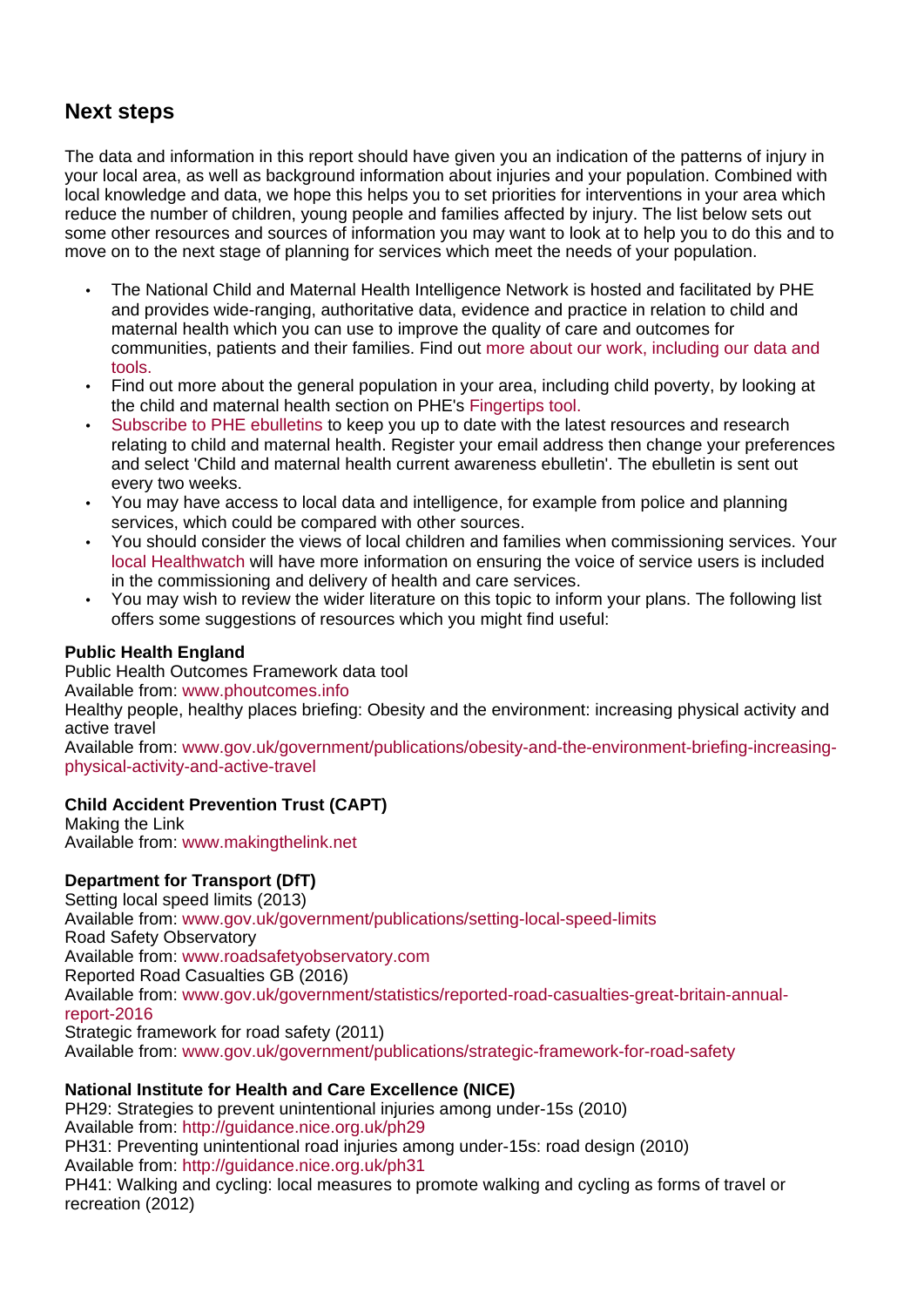# **Next steps**

The data and information in this report should have given you an indication of the patterns of injury in your local area, as well as background information about injuries and your population. Combined with local knowledge and data, we hope this helps you to set priorities for interventions in your area which reduce the number of children, young people and families affected by injury. The list below sets out some other resources and sources of information you may want to look at to help you to do this and to move on to the next stage of planning for services which meet the needs of your population.

- The National Child and Maternal Health Intelligence Network is hosted and facilitated by PHE and provides wide-ranging, authoritative data, evidence and practice in relation to child and maternal health which you can use to improve the quality of care and outcomes for communities, patients and their families. Find out [more about our work, including our data and](https://www.gov.uk/guidance/child-and-maternal-health-data-and-intelligence-a-guide-for-health-professionals)  [tools.](https://www.gov.uk/guidance/child-and-maternal-health-data-and-intelligence-a-guide-for-health-professionals)
- Find out more about the general population in your area, including child poverty, by looking at the child and maternal health section on PHE's [Fingertips tool.](https://fingertips.phe.org.uk/)
- Subscribe to PHE ebulletins to keep you up to date with the latest resources and research relating to child and maternal health. Register your email address then change your preferences and select 'Child and maternal health current awareness ebulletin'. The ebulletin is sent out every two weeks.
- You may have access to local data and intelligence, for example from police and planning services, which could be compared with other sources.
- You should consider the views of local children and families when commissioning services. Your [local Healthwatch](https://www.healthwatch.co.uk/find-local-healthwatch) will have more information on ensuring the voice of service users is included in the commissioning and delivery of health and care services.
- You may wish to review the wider literature on this topic to inform your plans. The following list offers some suggestions of resources which you might find useful:

### **Public Health England**

Public Health Outcomes Framework data tool Available from: [www.phoutcomes.info](http://www.phoutcomes.info/) Healthy people, healthy places briefing: Obesity and the environment: increasing physical activity and active travel

Available from: www.gov.uk/government/publications/obesity-and-the-environment-briefing-increasingphysical-activity-and-active-travel

### **Child Accident Prevention Trust (CAPT)**

Making the Link Available from: [www.makingthelink.net](http://www.makingthelink.net/)

### **Department for Transport (DfT)**

Setting local speed limits (2013) Available from: [www.gov.uk/government/publications/setting-local-speed-limits](http://www.gov.uk/government/publications/setting-local-speed-limits) Road Safety Observatory Available from: [www.roadsafetyobservatory.com](http://www.roadsafetyobservatory.com/) Reported Road Casualties GB (2016) Available from: [www.gov.uk/government/statistics/reported-road-casualties-great-britain-annual](https://www.gov.uk/government/statistics/reported-road-casualties-great-britain-annual-report-2016)[report-2016](https://www.gov.uk/government/statistics/reported-road-casualties-great-britain-annual-report-2016) Strategic framework for road safety (2011) Available from: www.gov.uk/government/publications/strategic-framework-for-road-safety

### **National Institute for Health and Care Excellence (NICE)**

PH29: Strategies to prevent unintentional injuries among under-15s (2010) Available from: <http://guidance.nice.org.uk/ph29> PH31: Preventing unintentional road injuries among under-15s: road design (2010) Available from: <http://guidance.nice.org.uk/ph31> PH41: Walking and cycling: local measures to promote walking and cycling as forms of travel or recreation (2012)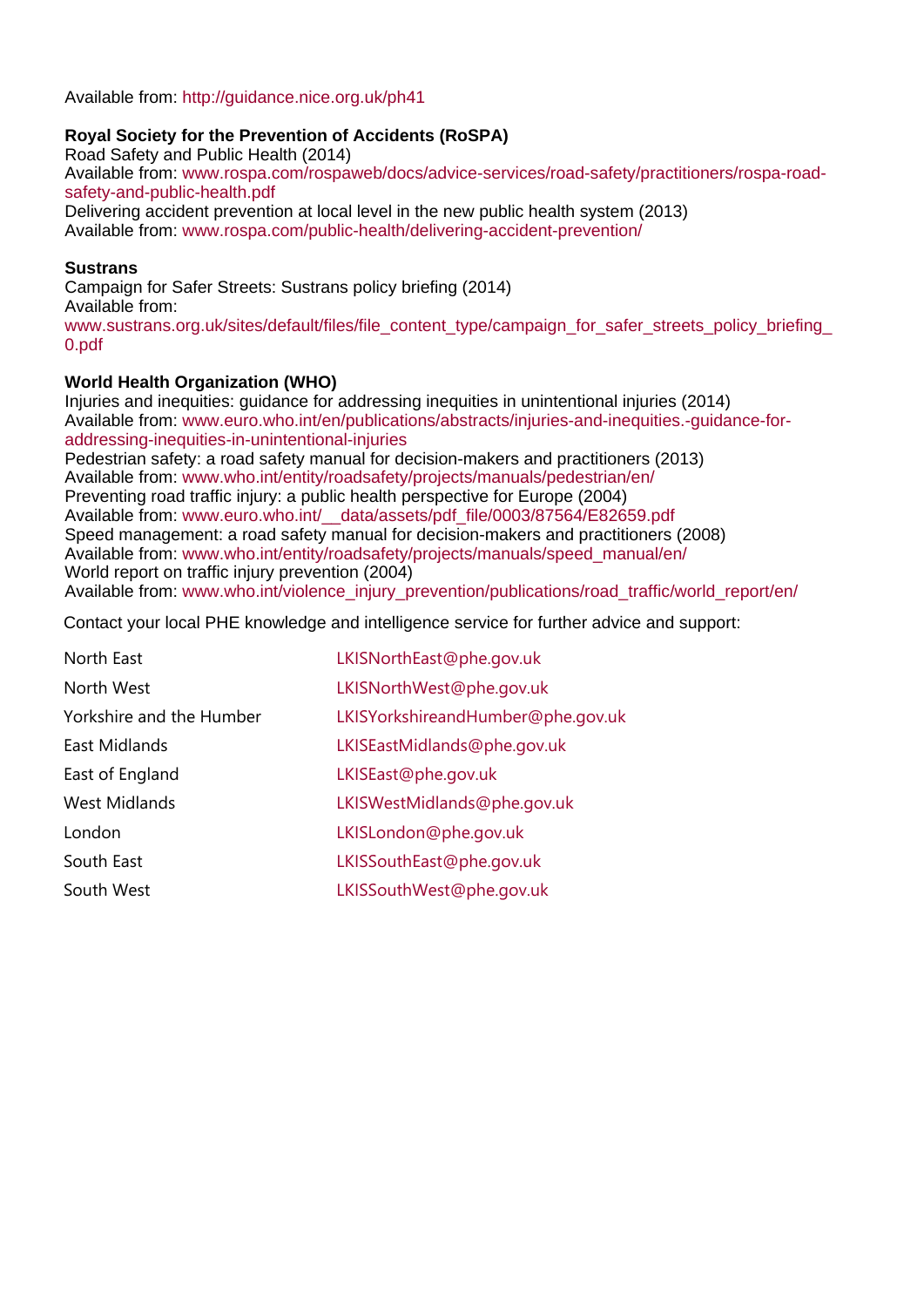### Available from: <http://guidance.nice.org.uk/ph41>

### **Royal Society for the Prevention of Accidents (RoSPA)**

Road Safety and Public Health (2014) Available from: [www.rospa.com/rospaweb/docs/advice-services/road-safety/practitioners/rospa-road](https://www.rospa.com/rospaweb/docs/advice-services/road-safety/practitioners/rospa-road-safety-and-public-health.pdf)[safety-and-public-health.pdf](https://www.rospa.com/rospaweb/docs/advice-services/road-safety/practitioners/rospa-road-safety-and-public-health.pdf) Delivering accident prevention at local level in the new public health system (2013) Available from: [www.rospa.com/public-health/delivering-accident-prevention/](https://www.rospa.com/public-health/delivering-accident-prevention/)

### **Sustrans**

Campaign for Safer Streets: Sustrans policy briefing (2014) Available from:

www.sustrans.org.uk/sites/default/files/file\_content\_type/campaign\_for\_safer\_streets\_policy\_briefing [0.pdf](http://www.sustrans.org.uk/sites/default/files/file_content_type/campaign_for_safer_streets_policy_briefing_0.pdf)

### **World Health Organization (WHO)**

Injuries and inequities: guidance for addressing inequities in unintentional injuries (2014) Available from: [www.euro.who.int/en/publications/abstracts/injuries-and-inequities.-guidance-for](http://www.euro.who.int/en/publications/abstracts/injuries-and-inequities.-guidance-for-addressing-inequities-in-unintentional-injuries)[addressing-inequities-in-unintentional-injuries](http://www.euro.who.int/en/publications/abstracts/injuries-and-inequities.-guidance-for-addressing-inequities-in-unintentional-injuries)

Pedestrian safety: a road safety manual for decision-makers and practitioners (2013) Available from: [www.who.int/entity/roadsafety/projects/manuals/pedestrian/en/](http://www.who.int/entity/roadsafety/projects/manuals/pedestrian/en/) Preventing road traffic injury: a public health perspective for Europe (2004) Available from: [www.euro.who.int/\\_\\_data/assets/pdf\\_file/0003/87564/E82659.pdf](http://www.euro.who.int/__data/assets/pdf_file/0003/87564/E82659.pdf) Speed management: a road safety manual for decision-makers and practitioners (2008) Available from: [www.who.int/entity/roadsafety/projects/manuals/speed\\_manual/en/](http://www.who.int/roadsafety/projects/manuals/speed_manual/en/) World report on traffic injury prevention (2004) Available from: [www.who.int/violence\\_injury\\_prevention/publications/road\\_traffic/world\\_report/en/](http://www.who.int/violence_injury_prevention/publications/road_traffic/world_report/en/)

Contact your local PHE knowledge and intelligence service for further advice and support:

| North East               | LKISNorthEast@phe.gov.uk          |
|--------------------------|-----------------------------------|
| North West               | LKISNorthWest@phe.gov.uk          |
| Yorkshire and the Humber | LKISYorkshireandHumber@phe.gov.uk |
| East Midlands            | LKISEastMidlands@phe.gov.uk       |
| East of England          | LKISEast@phe.gov.uk               |
| <b>West Midlands</b>     | LKISWestMidlands@phe.gov.uk       |
| London                   | LKISLondon@phe.gov.uk             |
| South East               | LKISSouthEast@phe.gov.uk          |
| South West               | LKISSouthWest@phe.gov.uk          |